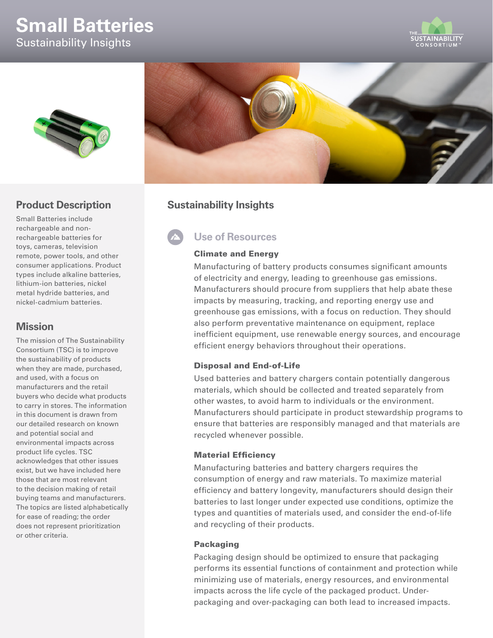# **Small Batteries** Sustainability Insights





## **Product Description**

Small Batteries include rechargeable and nonrechargeable batteries for toys, cameras, television remote, power tools, and other consumer applications. Product types include alkaline batteries, lithium-ion batteries, nickel metal hydride batteries, and nickel-cadmium batteries.

### **Mission**

The mission of The Sustainability Consortium (TSC) is to improve the sustainability of products when they are made, purchased, and used, with a focus on manufacturers and the retail buyers who decide what products to carry in stores. The information in this document is drawn from our detailed research on known and potential social and environmental impacts across product life cycles. TSC acknowledges that other issues exist, but we have included here those that are most relevant to the decision making of retail buying teams and manufacturers. The topics are listed alphabetically for ease of reading; the order does not represent prioritization or other criteria.



# **Sustainability Insights**

# **Use of Resources**

### Climate and Energy

Manufacturing of battery products consumes significant amounts of electricity and energy, leading to greenhouse gas emissions. Manufacturers should procure from suppliers that help abate these impacts by measuring, tracking, and reporting energy use and greenhouse gas emissions, with a focus on reduction. They should also perform preventative maintenance on equipment, replace inefficient equipment, use renewable energy sources, and encourage efficient energy behaviors throughout their operations.

### Disposal and End-of-Life

Used batteries and battery chargers contain potentially dangerous materials, which should be collected and treated separately from other wastes, to avoid harm to individuals or the environment. Manufacturers should participate in product stewardship programs to ensure that batteries are responsibly managed and that materials are recycled whenever possible.

### Material Efficiency

Manufacturing batteries and battery chargers requires the consumption of energy and raw materials. To maximize material efficiency and battery longevity, manufacturers should design their batteries to last longer under expected use conditions, optimize the types and quantities of materials used, and consider the end-of-life and recycling of their products.

### Packaging

Packaging design should be optimized to ensure that packaging performs its essential functions of containment and protection while minimizing use of materials, energy resources, and environmental impacts across the life cycle of the packaged product. Underpackaging and over-packaging can both lead to increased impacts.